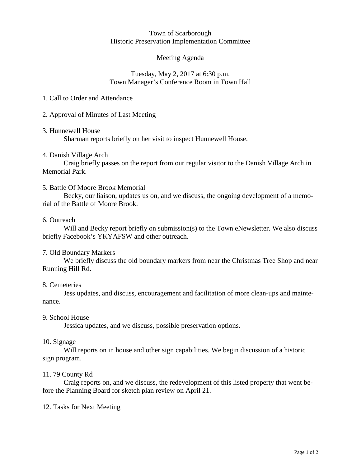#### Town of Scarborough Historic Preservation Implementation Committee

## Meeting Agenda

## Tuesday, May 2, 2017 at 6:30 p.m. Town Manager's Conference Room in Town Hall

## 1. Call to Order and Attendance

## 2. Approval of Minutes of Last Meeting

### 3. Hunnewell House

Sharman reports briefly on her visit to inspect Hunnewell House.

## 4. Danish Village Arch

Craig briefly passes on the report from our regular visitor to the Danish Village Arch in Memorial Park.

## 5. Battle Of Moore Brook Memorial

Becky, our liaison, updates us on, and we discuss, the ongoing development of a memorial of the Battle of Moore Brook.

### 6. Outreach

Will and Becky report briefly on submission(s) to the Town eNewsletter. We also discuss briefly Facebook's YKYAFSW and other outreach.

## 7. Old Boundary Markers

We briefly discuss the old boundary markers from near the Christmas Tree Shop and near Running Hill Rd.

### 8. Cemeteries

Jess updates, and discuss, encouragement and facilitation of more clean-ups and maintenance.

### 9. School House

Jessica updates, and we discuss, possible preservation options.

### 10. Signage

Will reports on in house and other sign capabilities. We begin discussion of a historic sign program.

### 11. 79 County Rd

Craig reports on, and we discuss, the redevelopment of this listed property that went before the Planning Board for sketch plan review on April 21.

### 12. Tasks for Next Meeting